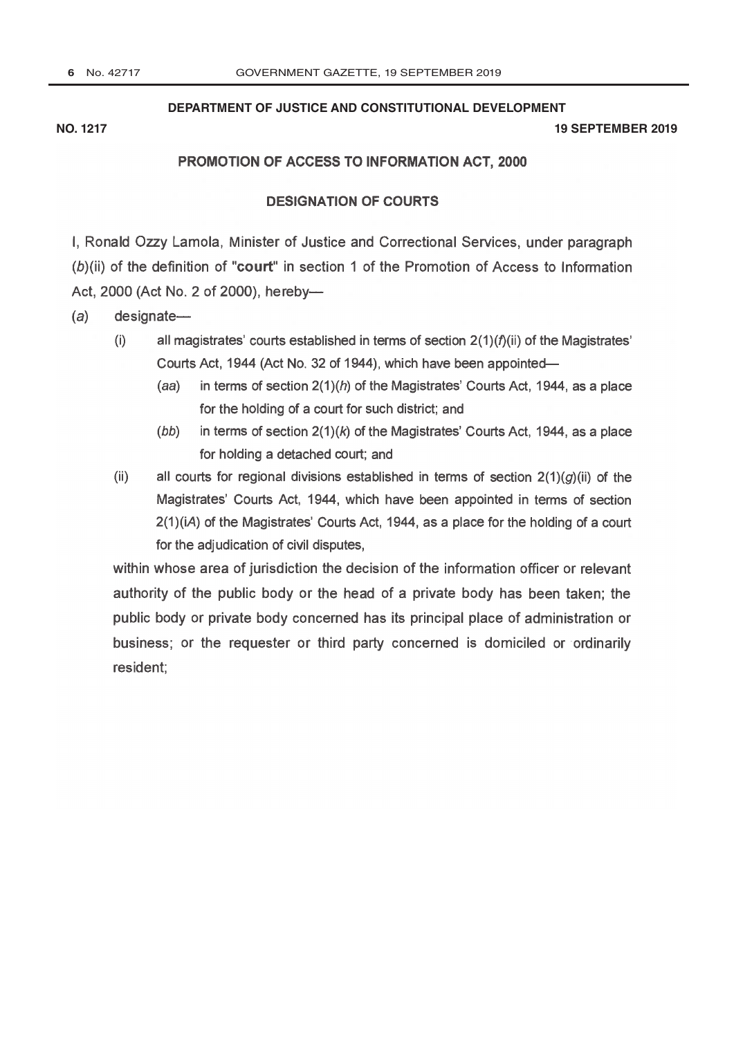# **[DEPARTMENT OF JUSTICE AND CONSTITUTIONAL DEVELOPMENT](http://www.greengazette.co.za/departments/justice)**

### **NO. 1217 19 SEPTEMBER 2019**

# PROMOTION OF ACCESS TO INFORMATION ACT, 2000

# DESIGNATION OF COURTS

I, Ronald Ozzy Lamola, Minister of Justice and Correctional Services, under paragraph (b)(ii) of the definition of "court" in section 1 of the [Promotion of Access to Information](http://www.greengazette.co.za/acts/promotion-of-access-to-information-act_2000-002) [Act,](http://www.greengazette.co.za/acts/promotion-of-access-to-information-act_2000-002) 2000 (Act No. 2 of 2000), hereby-

 $(a)$  designate-

- (i) all magistrates' courts established in terms of section  $2(1)(f)(ii)$  of the Magistrates' Courts Act, 1944 (Act No. 32 of 1944), which have been appointed-
	- (aa) in terms of section  $2(1)(h)$  of the Magistrates' Courts Act, 1944, as a place for the holding of a court for such district; and
	- (bb) in terms of section  $2(1)(k)$  of the Magistrates' Courts Act, 1944, as a place for holding a detached court; and
- (ii) all courts for regional divisions established in terms of section  $2(1)(g)(ii)$  of the Magistrates' Courts Act, 1944, which have been appointed in terms of section 2(1)(iA) of the Magistrates' Courts Act, 1944, as a place for the holding of a court for the adjudication of civil disputes,

within whose area of jurisdiction the decision of the information officer or relevant authority of the public body or the head of a private body has been taken; the public body or private body concerned has its principal place of administration or business; or the requester or third party concerned is domiciled or ordinarily resident;